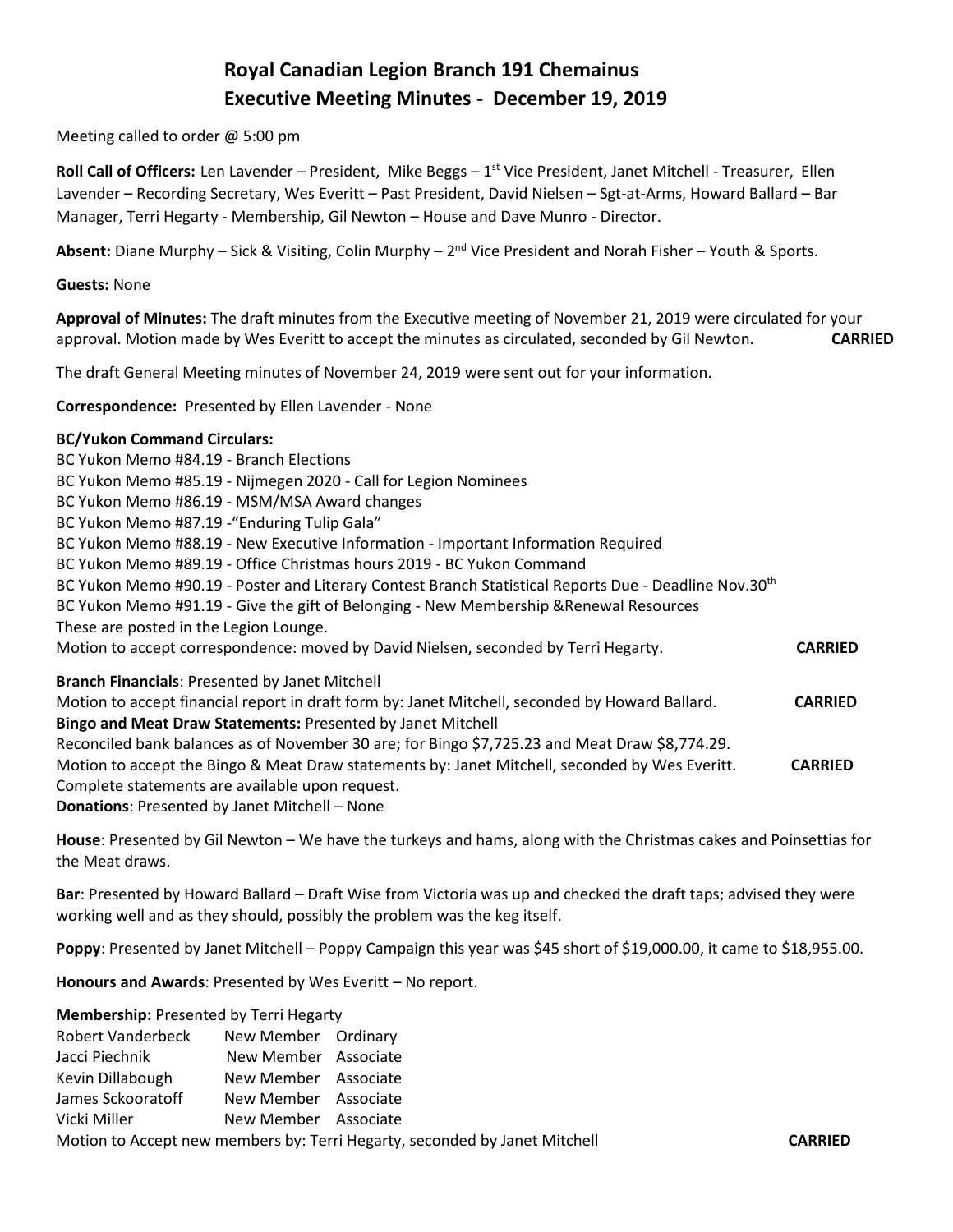# **Royal Canadian Legion Branch 191 Chemainus Executive Meeting Minutes - December 19, 2019**

Meeting called to order @ 5:00 pm

Roll Call of Officers: Len Lavender - President, Mike Beggs - 1<sup>st</sup> Vice President, Janet Mitchell - Treasurer, Ellen Lavender – Recording Secretary, Wes Everitt – Past President, David Nielsen – Sgt-at-Arms, Howard Ballard – Bar Manager, Terri Hegarty - Membership, Gil Newton – House and Dave Munro - Director.

Absent: Diane Murphy – Sick & Visiting, Colin Murphy – 2<sup>nd</sup> Vice President and Norah Fisher – Youth & Sports.

#### **Guests:** None

**Approval of Minutes:** The draft minutes from the Executive meeting of November 21, 2019 were circulated for your approval. Motion made by Wes Everitt to accept the minutes as circulated, seconded by Gil Newton. **CARRIED** 

The draft General Meeting minutes of November 24, 2019 were sent out for your information.

**Correspondence:** Presented by Ellen Lavender - None

### **BC/Yukon Command Circulars:**

BC Yukon Memo #84.19 - Branch Elections BC Yukon Memo #85.19 - Nijmegen 2020 - Call for Legion Nominees BC Yukon Memo #86.19 - MSM/MSA Award changes BC Yukon Memo #87.19 -"Enduring Tulip Gala" BC Yukon Memo #88.19 - New Executive Information - Important Information Required BC Yukon Memo #89.19 - Office Christmas hours 2019 - BC Yukon Command BC Yukon Memo #90.19 - Poster and Literary Contest Branch Statistical Reports Due - Deadline Nov.30<sup>th</sup> BC Yukon Memo #91.19 - Give the gift of Belonging - New Membership &Renewal Resources These are posted in the Legion Lounge. Motion to accept correspondence: moved by David Nielsen, seconded by Terri Hegarty. **CARRIED Branch Financials**: Presented by Janet Mitchell Motion to accept financial report in draft form by: Janet Mitchell, seconded by Howard Ballard. **CARRIED Bingo and Meat Draw Statements:** Presented by Janet Mitchell Reconciled bank balances as of November 30 are; for Bingo \$7,725.23 and Meat Draw \$8,774.29. Motion to accept the Bingo & Meat Draw statements by: Janet Mitchell, seconded by Wes Everitt. **CARRIED** Complete statements are available upon request. **Donations**: Presented by Janet Mitchell – None

**House**: Presented by Gil Newton – We have the turkeys and hams, along with the Christmas cakes and Poinsettias for the Meat draws.

**Bar**: Presented by Howard Ballard – Draft Wise from Victoria was up and checked the draft taps; advised they were working well and as they should, possibly the problem was the keg itself.

**Poppy**: Presented by Janet Mitchell – Poppy Campaign this year was \$45 short of \$19,000.00, it came to \$18,955.00.

**Honours and Awards**: Presented by Wes Everitt – No report.

| <b>Robert Vanderbeck</b>                                                   | New Member Ordinary                          |  |                |
|----------------------------------------------------------------------------|----------------------------------------------|--|----------------|
| Jacci Piechnik                                                             | New Member Associate                         |  |                |
| Kevin Dillabough<br>James Sckooratoff                                      | New Member Associate<br>New Member Associate |  |                |
|                                                                            |                                              |  |                |
| Vicki Miller                                                               | New Member Associate                         |  |                |
| Motion to Accept new members by: Terri Hegarty, seconded by Janet Mitchell |                                              |  | <b>CARRIED</b> |